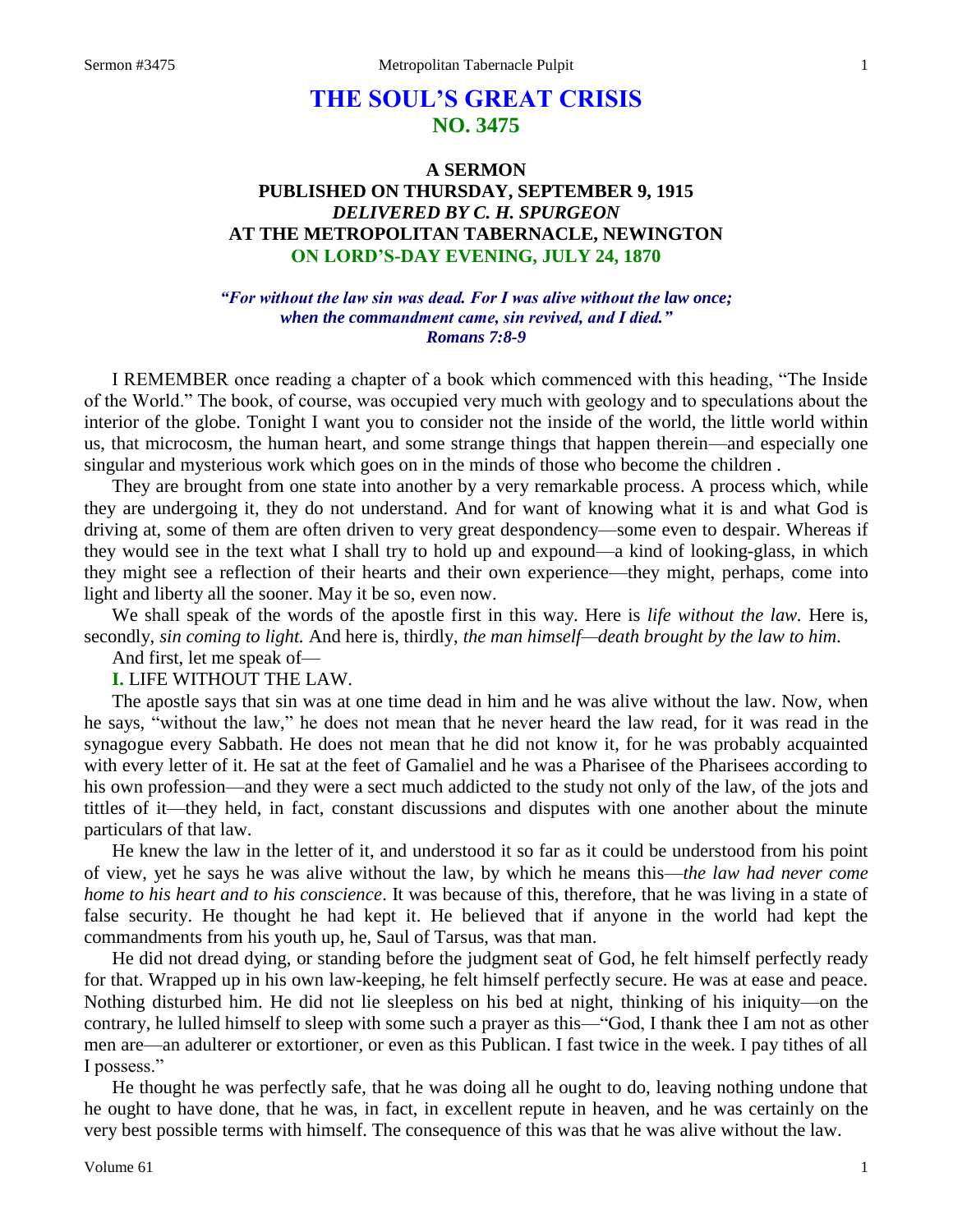# **THE SOUL'S GREAT CRISIS NO. 3475**

# **A SERMON PUBLISHED ON THURSDAY, SEPTEMBER 9, 1915** *DELIVERED BY C. H. SPURGEON* **AT THE METROPOLITAN TABERNACLE, NEWINGTON ON LORD'S-DAY EVENING, JULY 24, 1870**

*"For without the law sin was dead. For I was alive without the law once; when the commandment came, sin revived, and I died." Romans 7:8-9*

I REMEMBER once reading a chapter of a book which commenced with this heading, "The Inside of the World." The book, of course, was occupied very much with geology and to speculations about the interior of the globe. Tonight I want you to consider not the inside of the world, the little world within us, that microcosm, the human heart, and some strange things that happen therein—and especially one singular and mysterious work which goes on in the minds of those who become the children .

They are brought from one state into another by a very remarkable process. A process which, while they are undergoing it, they do not understand. And for want of knowing what it is and what God is driving at, some of them are often driven to very great despondency—some even to despair. Whereas if they would see in the text what I shall try to hold up and expound—a kind of looking-glass, in which they might see a reflection of their hearts and their own experience—they might, perhaps, come into light and liberty all the sooner. May it be so, even now.

We shall speak of the words of the apostle first in this way. Here is *life without the law.* Here is, secondly, *sin coming to light.* And here is, thirdly, *the man himself—death brought by the law to him*.

And first, let me speak of—

#### **I.** LIFE WITHOUT THE LAW.

The apostle says that sin was at one time dead in him and he was alive without the law. Now, when he says, "without the law," he does not mean that he never heard the law read, for it was read in the synagogue every Sabbath. He does not mean that he did not know it, for he was probably acquainted with every letter of it. He sat at the feet of Gamaliel and he was a Pharisee of the Pharisees according to his own profession—and they were a sect much addicted to the study not only of the law, of the jots and tittles of it—they held, in fact, constant discussions and disputes with one another about the minute particulars of that law.

He knew the law in the letter of it, and understood it so far as it could be understood from his point of view, yet he says he was alive without the law, by which he means this—*the law had never come home to his heart and to his conscience*. It was because of this, therefore, that he was living in a state of false security. He thought he had kept it. He believed that if anyone in the world had kept the commandments from his youth up, he, Saul of Tarsus, was that man.

He did not dread dying, or standing before the judgment seat of God, he felt himself perfectly ready for that. Wrapped up in his own law-keeping, he felt himself perfectly secure. He was at ease and peace. Nothing disturbed him. He did not lie sleepless on his bed at night, thinking of his iniquity—on the contrary, he lulled himself to sleep with some such a prayer as this—"God, I thank thee I am not as other men are—an adulterer or extortioner, or even as this Publican. I fast twice in the week. I pay tithes of all I possess."

He thought he was perfectly safe, that he was doing all he ought to do, leaving nothing undone that he ought to have done, that he was, in fact, in excellent repute in heaven, and he was certainly on the very best possible terms with himself. The consequence of this was that he was alive without the law.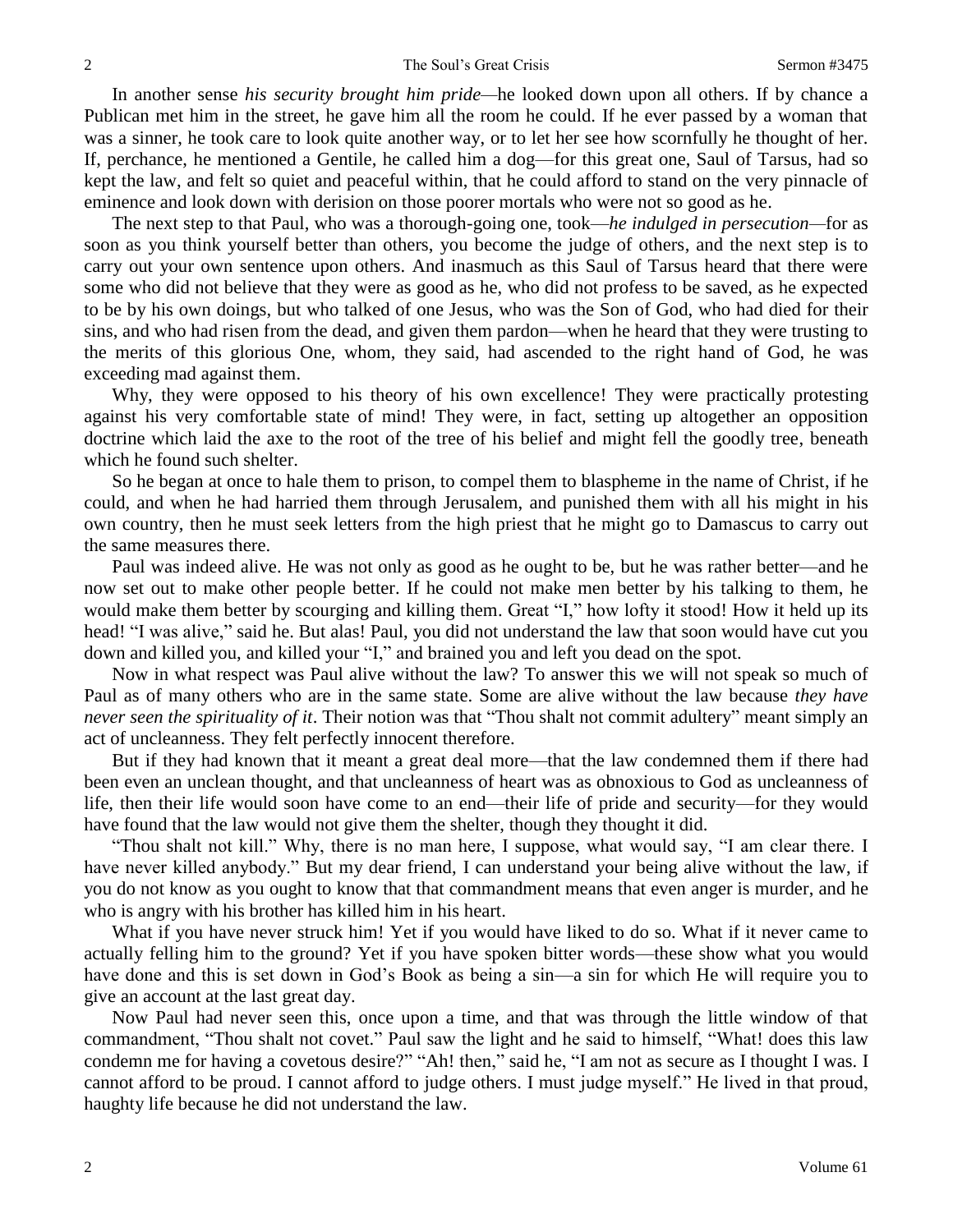In another sense *his security brought him pride—*he looked down upon all others. If by chance a Publican met him in the street, he gave him all the room he could. If he ever passed by a woman that was a sinner, he took care to look quite another way, or to let her see how scornfully he thought of her. If, perchance, he mentioned a Gentile, he called him a dog—for this great one, Saul of Tarsus, had so kept the law, and felt so quiet and peaceful within, that he could afford to stand on the very pinnacle of eminence and look down with derision on those poorer mortals who were not so good as he.

The next step to that Paul, who was a thorough-going one, took—*he indulged in persecution—*for as soon as you think yourself better than others, you become the judge of others, and the next step is to carry out your own sentence upon others. And inasmuch as this Saul of Tarsus heard that there were some who did not believe that they were as good as he, who did not profess to be saved, as he expected to be by his own doings, but who talked of one Jesus, who was the Son of God, who had died for their sins, and who had risen from the dead, and given them pardon—when he heard that they were trusting to the merits of this glorious One, whom, they said, had ascended to the right hand of God, he was exceeding mad against them.

Why, they were opposed to his theory of his own excellence! They were practically protesting against his very comfortable state of mind! They were, in fact, setting up altogether an opposition doctrine which laid the axe to the root of the tree of his belief and might fell the goodly tree, beneath which he found such shelter.

So he began at once to hale them to prison, to compel them to blaspheme in the name of Christ, if he could, and when he had harried them through Jerusalem, and punished them with all his might in his own country, then he must seek letters from the high priest that he might go to Damascus to carry out the same measures there.

Paul was indeed alive. He was not only as good as he ought to be, but he was rather better—and he now set out to make other people better. If he could not make men better by his talking to them, he would make them better by scourging and killing them. Great "I," how lofty it stood! How it held up its head! "I was alive," said he. But alas! Paul, you did not understand the law that soon would have cut you down and killed you, and killed your "I," and brained you and left you dead on the spot.

Now in what respect was Paul alive without the law? To answer this we will not speak so much of Paul as of many others who are in the same state. Some are alive without the law because *they have never seen the spirituality of it*. Their notion was that "Thou shalt not commit adultery" meant simply an act of uncleanness. They felt perfectly innocent therefore.

But if they had known that it meant a great deal more—that the law condemned them if there had been even an unclean thought, and that uncleanness of heart was as obnoxious to God as uncleanness of life, then their life would soon have come to an end—their life of pride and security—for they would have found that the law would not give them the shelter, though they thought it did.

"Thou shalt not kill." Why, there is no man here, I suppose, what would say, "I am clear there. I have never killed anybody." But my dear friend, I can understand your being alive without the law, if you do not know as you ought to know that that commandment means that even anger is murder, and he who is angry with his brother has killed him in his heart.

What if you have never struck him! Yet if you would have liked to do so. What if it never came to actually felling him to the ground? Yet if you have spoken bitter words—these show what you would have done and this is set down in God's Book as being a sin—a sin for which He will require you to give an account at the last great day.

Now Paul had never seen this, once upon a time, and that was through the little window of that commandment, "Thou shalt not covet." Paul saw the light and he said to himself, "What! does this law condemn me for having a covetous desire?" "Ah! then," said he, "I am not as secure as I thought I was. I cannot afford to be proud. I cannot afford to judge others. I must judge myself." He lived in that proud, haughty life because he did not understand the law.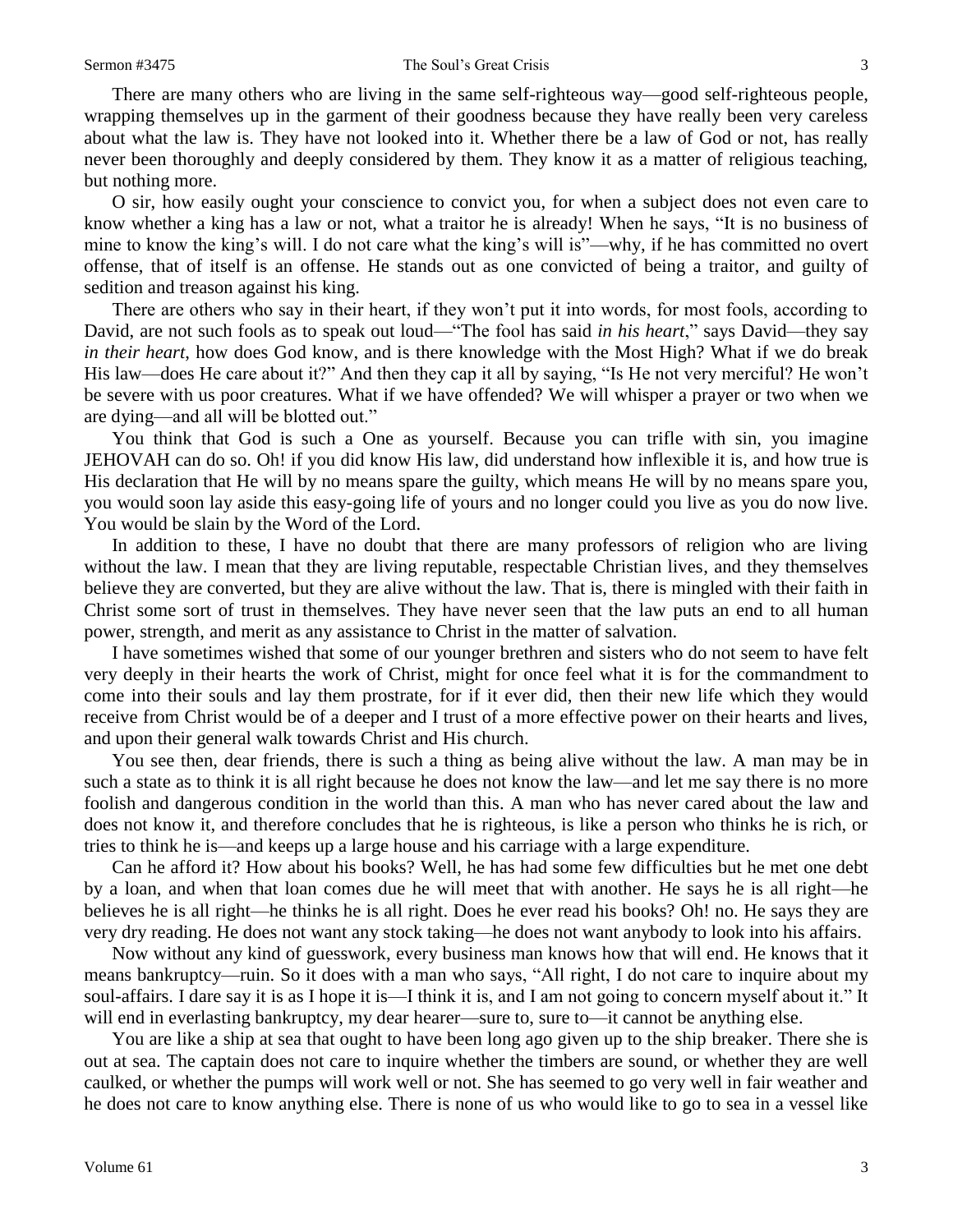There are many others who are living in the same self-righteous way—good self-righteous people, wrapping themselves up in the garment of their goodness because they have really been very careless about what the law is. They have not looked into it. Whether there be a law of God or not, has really never been thoroughly and deeply considered by them. They know it as a matter of religious teaching, but nothing more.

O sir, how easily ought your conscience to convict you, for when a subject does not even care to know whether a king has a law or not, what a traitor he is already! When he says, "It is no business of mine to know the king's will. I do not care what the king's will is"—why, if he has committed no overt offense, that of itself is an offense. He stands out as one convicted of being a traitor, and guilty of sedition and treason against his king.

There are others who say in their heart, if they won't put it into words, for most fools, according to David, are not such fools as to speak out loud—"The fool has said *in his heart*," says David—they say *in their heart*, how does God know, and is there knowledge with the Most High? What if we do break His law—does He care about it?" And then they cap it all by saying, "Is He not very merciful? He won't be severe with us poor creatures. What if we have offended? We will whisper a prayer or two when we are dying—and all will be blotted out."

You think that God is such a One as yourself. Because you can trifle with sin, you imagine JEHOVAH can do so. Oh! if you did know His law, did understand how inflexible it is, and how true is His declaration that He will by no means spare the guilty, which means He will by no means spare you, you would soon lay aside this easy-going life of yours and no longer could you live as you do now live. You would be slain by the Word of the Lord.

In addition to these, I have no doubt that there are many professors of religion who are living without the law. I mean that they are living reputable, respectable Christian lives, and they themselves believe they are converted, but they are alive without the law. That is, there is mingled with their faith in Christ some sort of trust in themselves. They have never seen that the law puts an end to all human power, strength, and merit as any assistance to Christ in the matter of salvation.

I have sometimes wished that some of our younger brethren and sisters who do not seem to have felt very deeply in their hearts the work of Christ, might for once feel what it is for the commandment to come into their souls and lay them prostrate, for if it ever did, then their new life which they would receive from Christ would be of a deeper and I trust of a more effective power on their hearts and lives, and upon their general walk towards Christ and His church.

You see then, dear friends, there is such a thing as being alive without the law. A man may be in such a state as to think it is all right because he does not know the law—and let me say there is no more foolish and dangerous condition in the world than this. A man who has never cared about the law and does not know it, and therefore concludes that he is righteous, is like a person who thinks he is rich, or tries to think he is—and keeps up a large house and his carriage with a large expenditure.

Can he afford it? How about his books? Well, he has had some few difficulties but he met one debt by a loan, and when that loan comes due he will meet that with another. He says he is all right—he believes he is all right—he thinks he is all right. Does he ever read his books? Oh! no. He says they are very dry reading. He does not want any stock taking—he does not want anybody to look into his affairs.

Now without any kind of guesswork, every business man knows how that will end. He knows that it means bankruptcy—ruin. So it does with a man who says, "All right, I do not care to inquire about my soul-affairs. I dare say it is as I hope it is—I think it is, and I am not going to concern myself about it." It will end in everlasting bankruptcy, my dear hearer—sure to, sure to—it cannot be anything else.

You are like a ship at sea that ought to have been long ago given up to the ship breaker. There she is out at sea. The captain does not care to inquire whether the timbers are sound, or whether they are well caulked, or whether the pumps will work well or not. She has seemed to go very well in fair weather and he does not care to know anything else. There is none of us who would like to go to sea in a vessel like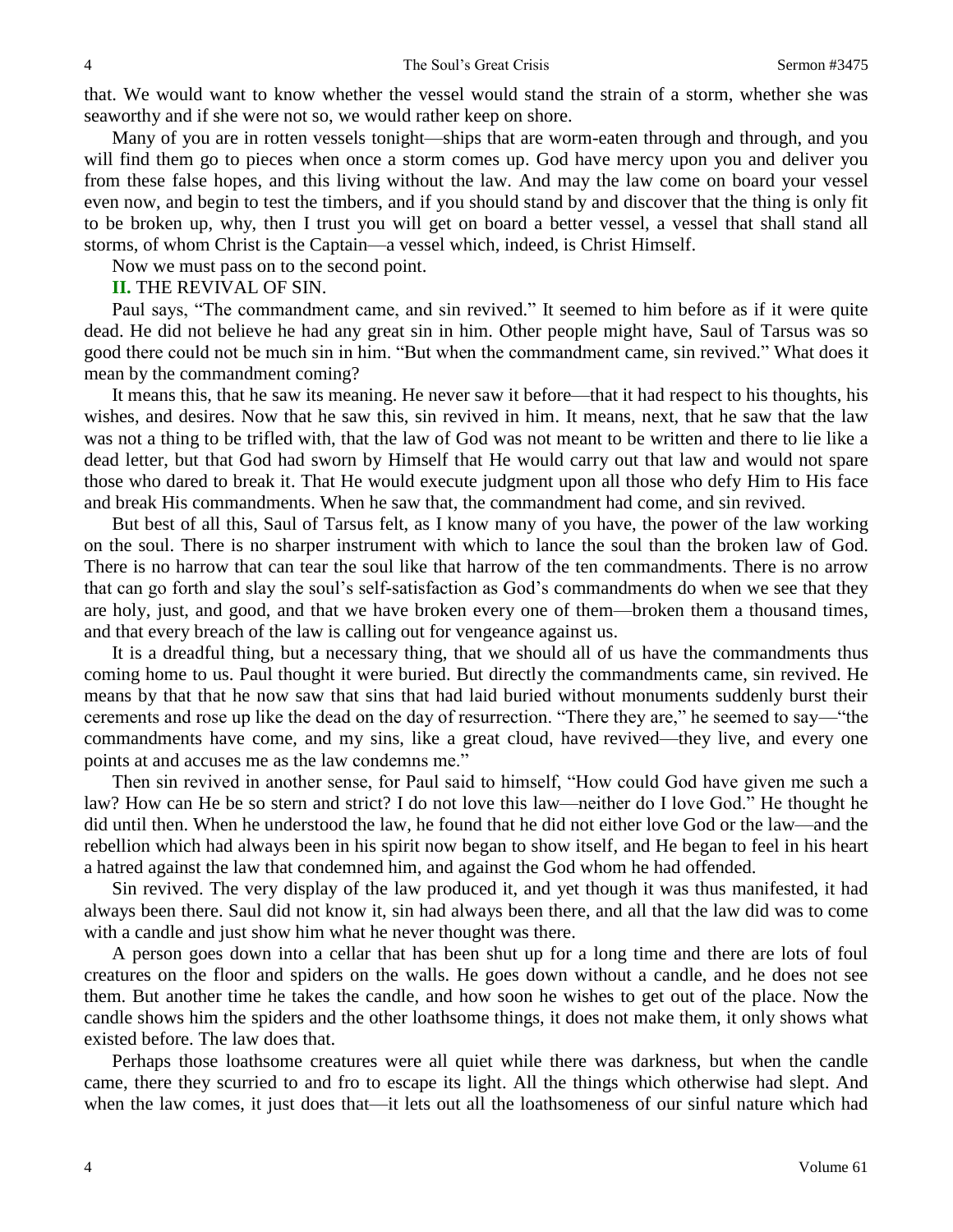that. We would want to know whether the vessel would stand the strain of a storm, whether she was seaworthy and if she were not so, we would rather keep on shore.

Many of you are in rotten vessels tonight—ships that are worm-eaten through and through, and you will find them go to pieces when once a storm comes up. God have mercy upon you and deliver you from these false hopes, and this living without the law. And may the law come on board your vessel even now, and begin to test the timbers, and if you should stand by and discover that the thing is only fit to be broken up, why, then I trust you will get on board a better vessel, a vessel that shall stand all storms, of whom Christ is the Captain—a vessel which, indeed, is Christ Himself.

Now we must pass on to the second point.

### **II.** THE REVIVAL OF SIN.

Paul says, "The commandment came, and sin revived." It seemed to him before as if it were quite dead. He did not believe he had any great sin in him. Other people might have, Saul of Tarsus was so good there could not be much sin in him. "But when the commandment came, sin revived." What does it mean by the commandment coming?

It means this, that he saw its meaning. He never saw it before—that it had respect to his thoughts, his wishes, and desires. Now that he saw this, sin revived in him. It means, next, that he saw that the law was not a thing to be trifled with, that the law of God was not meant to be written and there to lie like a dead letter, but that God had sworn by Himself that He would carry out that law and would not spare those who dared to break it. That He would execute judgment upon all those who defy Him to His face and break His commandments. When he saw that, the commandment had come, and sin revived.

But best of all this, Saul of Tarsus felt, as I know many of you have, the power of the law working on the soul. There is no sharper instrument with which to lance the soul than the broken law of God. There is no harrow that can tear the soul like that harrow of the ten commandments. There is no arrow that can go forth and slay the soul's self-satisfaction as God's commandments do when we see that they are holy, just, and good, and that we have broken every one of them—broken them a thousand times, and that every breach of the law is calling out for vengeance against us.

It is a dreadful thing, but a necessary thing, that we should all of us have the commandments thus coming home to us. Paul thought it were buried. But directly the commandments came, sin revived. He means by that that he now saw that sins that had laid buried without monuments suddenly burst their cerements and rose up like the dead on the day of resurrection. "There they are," he seemed to say—"the commandments have come, and my sins, like a great cloud, have revived—they live, and every one points at and accuses me as the law condemns me."

Then sin revived in another sense, for Paul said to himself, "How could God have given me such a law? How can He be so stern and strict? I do not love this law—neither do I love God." He thought he did until then. When he understood the law, he found that he did not either love God or the law—and the rebellion which had always been in his spirit now began to show itself, and He began to feel in his heart a hatred against the law that condemned him, and against the God whom he had offended.

Sin revived. The very display of the law produced it, and yet though it was thus manifested, it had always been there. Saul did not know it, sin had always been there, and all that the law did was to come with a candle and just show him what he never thought was there.

A person goes down into a cellar that has been shut up for a long time and there are lots of foul creatures on the floor and spiders on the walls. He goes down without a candle, and he does not see them. But another time he takes the candle, and how soon he wishes to get out of the place. Now the candle shows him the spiders and the other loathsome things, it does not make them, it only shows what existed before. The law does that.

Perhaps those loathsome creatures were all quiet while there was darkness, but when the candle came, there they scurried to and fro to escape its light. All the things which otherwise had slept. And when the law comes, it just does that—it lets out all the loathsomeness of our sinful nature which had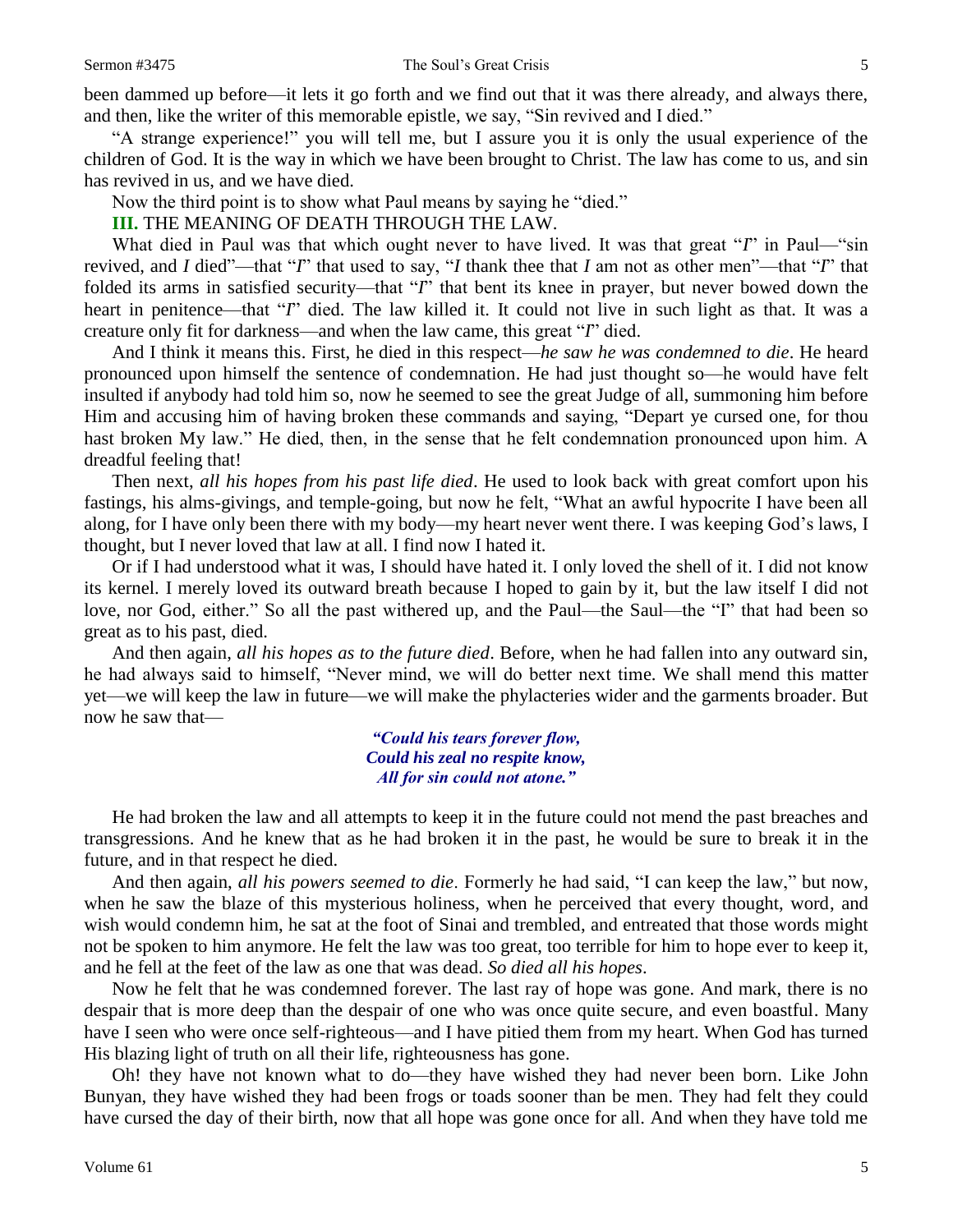been dammed up before—it lets it go forth and we find out that it was there already, and always there, and then, like the writer of this memorable epistle, we say, "Sin revived and I died."

"A strange experience!" you will tell me, but I assure you it is only the usual experience of the children of God. It is the way in which we have been brought to Christ. The law has come to us, and sin has revived in us, and we have died.

Now the third point is to show what Paul means by saying he "died."

**III.** THE MEANING OF DEATH THROUGH THE LAW.

What died in Paul was that which ought never to have lived. It was that great "*I*" in Paul—"sin revived, and *I* died"—that "*I*" that used to say, "*I* thank thee that *I* am not as other men"—that "*I*" that folded its arms in satisfied security—that "*I*" that bent its knee in prayer, but never bowed down the heart in penitence—that "*I*" died. The law killed it. It could not live in such light as that. It was a creature only fit for darkness—and when the law came, this great "*I*" died.

And I think it means this. First, he died in this respect—*he saw he was condemned to die*. He heard pronounced upon himself the sentence of condemnation. He had just thought so—he would have felt insulted if anybody had told him so, now he seemed to see the great Judge of all, summoning him before Him and accusing him of having broken these commands and saying, "Depart ye cursed one, for thou hast broken My law." He died, then, in the sense that he felt condemnation pronounced upon him. A dreadful feeling that!

Then next, *all his hopes from his past life died*. He used to look back with great comfort upon his fastings, his alms-givings, and temple-going, but now he felt, "What an awful hypocrite I have been all along, for I have only been there with my body—my heart never went there. I was keeping God's laws, I thought, but I never loved that law at all. I find now I hated it.

Or if I had understood what it was, I should have hated it. I only loved the shell of it. I did not know its kernel. I merely loved its outward breath because I hoped to gain by it, but the law itself I did not love, nor God, either." So all the past withered up, and the Paul—the Saul—the "I" that had been so great as to his past, died.

And then again, *all his hopes as to the future died*. Before, when he had fallen into any outward sin, he had always said to himself, "Never mind, we will do better next time. We shall mend this matter yet—we will keep the law in future—we will make the phylacteries wider and the garments broader. But now he saw that—

> *"Could his tears forever flow, Could his zeal no respite know, All for sin could not atone."*

He had broken the law and all attempts to keep it in the future could not mend the past breaches and transgressions. And he knew that as he had broken it in the past, he would be sure to break it in the future, and in that respect he died.

And then again, *all his powers seemed to die*. Formerly he had said, "I can keep the law," but now, when he saw the blaze of this mysterious holiness, when he perceived that every thought, word, and wish would condemn him, he sat at the foot of Sinai and trembled, and entreated that those words might not be spoken to him anymore. He felt the law was too great, too terrible for him to hope ever to keep it, and he fell at the feet of the law as one that was dead. *So died all his hopes*.

Now he felt that he was condemned forever. The last ray of hope was gone. And mark, there is no despair that is more deep than the despair of one who was once quite secure, and even boastful. Many have I seen who were once self-righteous—and I have pitied them from my heart. When God has turned His blazing light of truth on all their life, righteousness has gone.

Oh! they have not known what to do—they have wished they had never been born. Like John Bunyan, they have wished they had been frogs or toads sooner than be men. They had felt they could have cursed the day of their birth, now that all hope was gone once for all. And when they have told me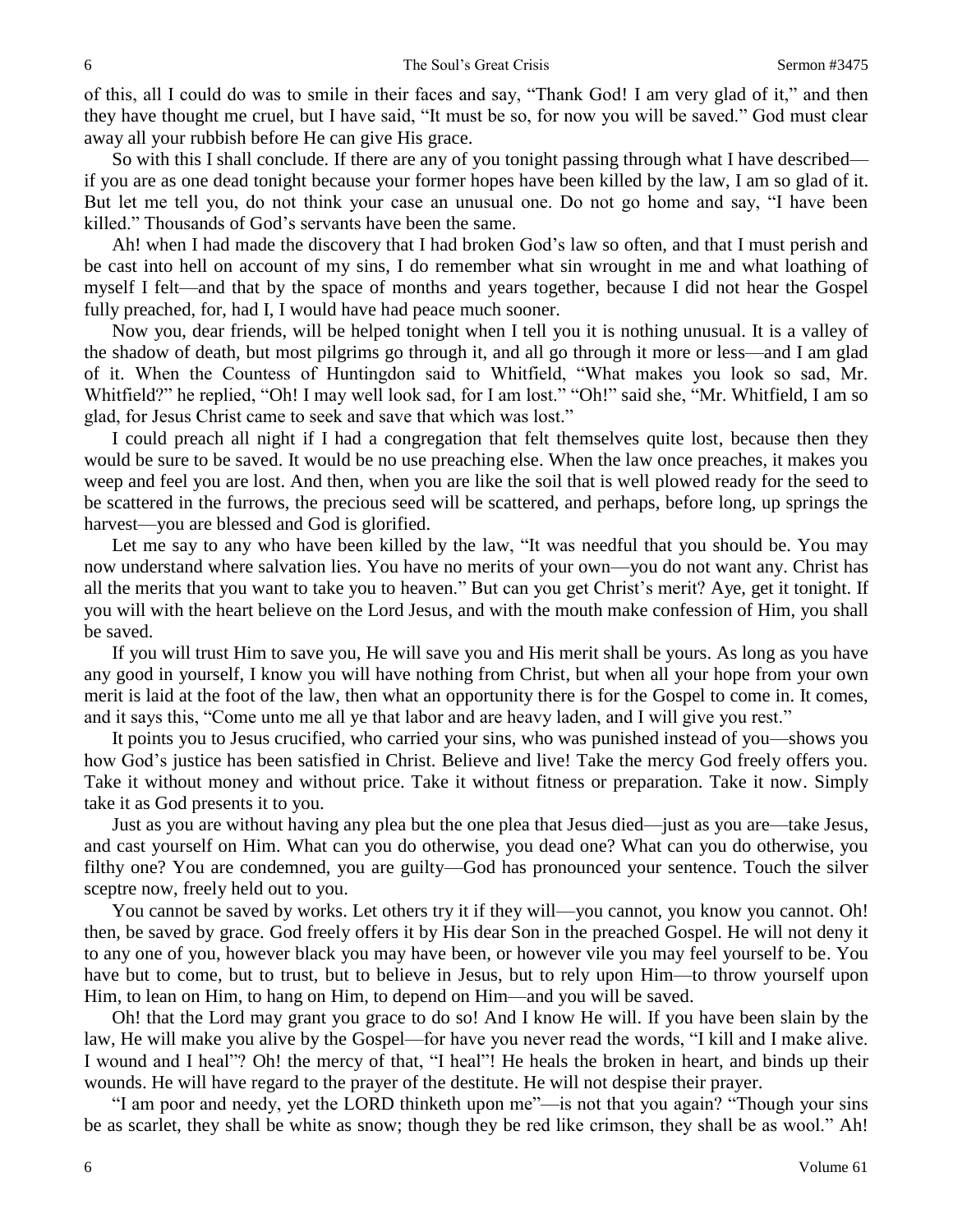of this, all I could do was to smile in their faces and say, "Thank God! I am very glad of it," and then they have thought me cruel, but I have said, "It must be so, for now you will be saved." God must clear away all your rubbish before He can give His grace.

So with this I shall conclude. If there are any of you tonight passing through what I have described if you are as one dead tonight because your former hopes have been killed by the law, I am so glad of it. But let me tell you, do not think your case an unusual one. Do not go home and say, "I have been killed." Thousands of God's servants have been the same.

Ah! when I had made the discovery that I had broken God's law so often, and that I must perish and be cast into hell on account of my sins, I do remember what sin wrought in me and what loathing of myself I felt—and that by the space of months and years together, because I did not hear the Gospel fully preached, for, had I, I would have had peace much sooner.

Now you, dear friends, will be helped tonight when I tell you it is nothing unusual. It is a valley of the shadow of death, but most pilgrims go through it, and all go through it more or less—and I am glad of it. When the Countess of Huntingdon said to Whitfield, "What makes you look so sad, Mr. Whitfield?" he replied, "Oh! I may well look sad, for I am lost." "Oh!" said she, "Mr. Whitfield, I am so glad, for Jesus Christ came to seek and save that which was lost."

I could preach all night if I had a congregation that felt themselves quite lost, because then they would be sure to be saved. It would be no use preaching else. When the law once preaches, it makes you weep and feel you are lost. And then, when you are like the soil that is well plowed ready for the seed to be scattered in the furrows, the precious seed will be scattered, and perhaps, before long, up springs the harvest—you are blessed and God is glorified.

Let me say to any who have been killed by the law, "It was needful that you should be. You may now understand where salvation lies. You have no merits of your own—you do not want any. Christ has all the merits that you want to take you to heaven." But can you get Christ's merit? Aye, get it tonight. If you will with the heart believe on the Lord Jesus, and with the mouth make confession of Him, you shall be saved.

If you will trust Him to save you, He will save you and His merit shall be yours. As long as you have any good in yourself, I know you will have nothing from Christ, but when all your hope from your own merit is laid at the foot of the law, then what an opportunity there is for the Gospel to come in. It comes, and it says this, "Come unto me all ye that labor and are heavy laden, and I will give you rest."

It points you to Jesus crucified, who carried your sins, who was punished instead of you—shows you how God's justice has been satisfied in Christ. Believe and live! Take the mercy God freely offers you. Take it without money and without price. Take it without fitness or preparation. Take it now. Simply take it as God presents it to you.

Just as you are without having any plea but the one plea that Jesus died—just as you are—take Jesus, and cast yourself on Him. What can you do otherwise, you dead one? What can you do otherwise, you filthy one? You are condemned, you are guilty—God has pronounced your sentence. Touch the silver sceptre now, freely held out to you.

You cannot be saved by works. Let others try it if they will—you cannot, you know you cannot. Oh! then, be saved by grace. God freely offers it by His dear Son in the preached Gospel. He will not deny it to any one of you, however black you may have been, or however vile you may feel yourself to be. You have but to come, but to trust, but to believe in Jesus, but to rely upon Him—to throw yourself upon Him, to lean on Him, to hang on Him, to depend on Him—and you will be saved.

Oh! that the Lord may grant you grace to do so! And I know He will. If you have been slain by the law, He will make you alive by the Gospel—for have you never read the words, "I kill and I make alive. I wound and I heal"? Oh! the mercy of that, "I heal"! He heals the broken in heart, and binds up their wounds. He will have regard to the prayer of the destitute. He will not despise their prayer.

"I am poor and needy, yet the LORD thinketh upon me"—is not that you again? "Though your sins be as scarlet, they shall be white as snow; though they be red like crimson, they shall be as wool." Ah!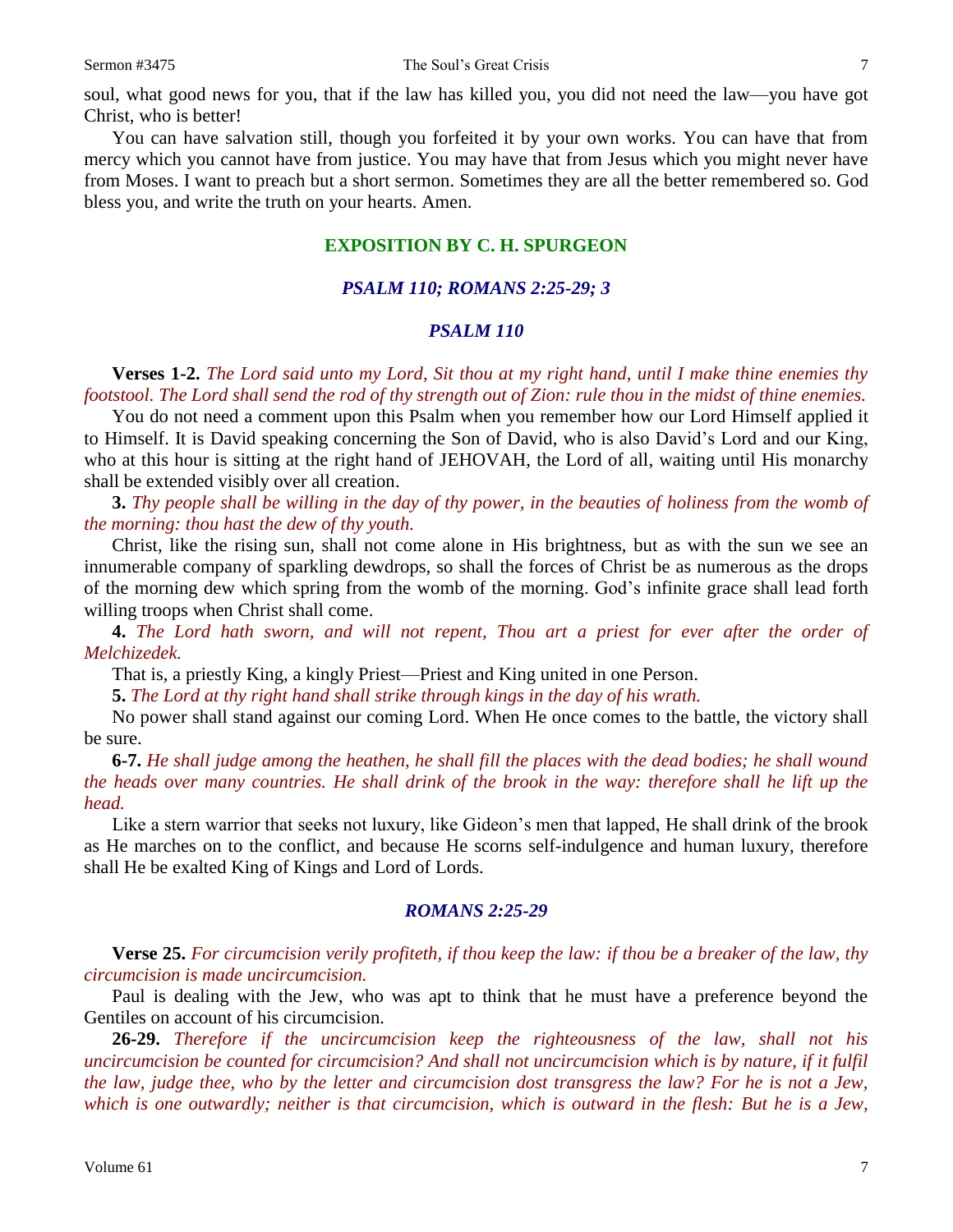soul, what good news for you, that if the law has killed you, you did not need the law—you have got Christ, who is better!

You can have salvation still, though you forfeited it by your own works. You can have that from mercy which you cannot have from justice. You may have that from Jesus which you might never have from Moses. I want to preach but a short sermon. Sometimes they are all the better remembered so. God bless you, and write the truth on your hearts. Amen.

#### **EXPOSITION BY C. H. SPURGEON**

#### *PSALM 110; ROMANS 2:25-29; 3*

#### *PSALM 110*

**Verses 1-2.** *The Lord said unto my Lord, Sit thou at my right hand, until I make thine enemies thy footstool. The Lord shall send the rod of thy strength out of Zion: rule thou in the midst of thine enemies.*

You do not need a comment upon this Psalm when you remember how our Lord Himself applied it to Himself. It is David speaking concerning the Son of David, who is also David's Lord and our King, who at this hour is sitting at the right hand of JEHOVAH, the Lord of all, waiting until His monarchy shall be extended visibly over all creation.

**3.** *Thy people shall be willing in the day of thy power, in the beauties of holiness from the womb of the morning: thou hast the dew of thy youth.*

Christ, like the rising sun, shall not come alone in His brightness, but as with the sun we see an innumerable company of sparkling dewdrops, so shall the forces of Christ be as numerous as the drops of the morning dew which spring from the womb of the morning. God's infinite grace shall lead forth willing troops when Christ shall come.

**4.** *The Lord hath sworn, and will not repent, Thou art a priest for ever after the order of Melchizedek.*

That is, a priestly King, a kingly Priest—Priest and King united in one Person.

**5.** *The Lord at thy right hand shall strike through kings in the day of his wrath.*

No power shall stand against our coming Lord. When He once comes to the battle, the victory shall be sure.

**6-7.** *He shall judge among the heathen, he shall fill the places with the dead bodies; he shall wound the heads over many countries. He shall drink of the brook in the way: therefore shall he lift up the head.*

Like a stern warrior that seeks not luxury, like Gideon's men that lapped, He shall drink of the brook as He marches on to the conflict, and because He scorns self-indulgence and human luxury, therefore shall He be exalted King of Kings and Lord of Lords.

#### *ROMANS 2:25-29*

**Verse 25.** *For circumcision verily profiteth, if thou keep the law: if thou be a breaker of the law, thy circumcision is made uncircumcision.*

Paul is dealing with the Jew, who was apt to think that he must have a preference beyond the Gentiles on account of his circumcision.

**26-29.** *Therefore if the uncircumcision keep the righteousness of the law, shall not his uncircumcision be counted for circumcision? And shall not uncircumcision which is by nature, if it fulfil the law, judge thee, who by the letter and circumcision dost transgress the law? For he is not a Jew, which is one outwardly; neither is that circumcision, which is outward in the flesh: But he is a Jew,*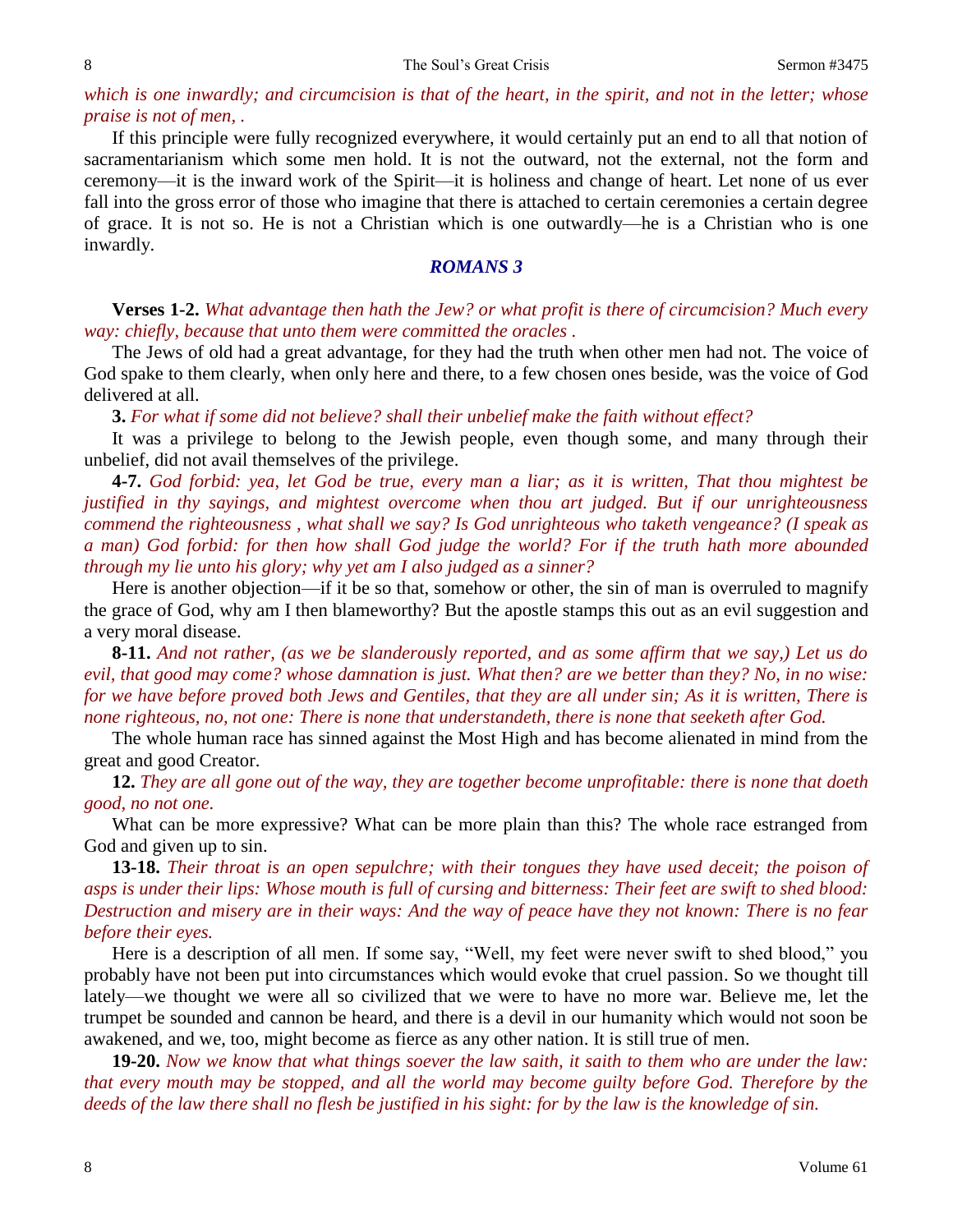#### 8 Sermon #3475

## *which is one inwardly; and circumcision is that of the heart, in the spirit, and not in the letter; whose praise is not of men, .*

If this principle were fully recognized everywhere, it would certainly put an end to all that notion of sacramentarianism which some men hold. It is not the outward, not the external, not the form and ceremony—it is the inward work of the Spirit—it is holiness and change of heart. Let none of us ever fall into the gross error of those who imagine that there is attached to certain ceremonies a certain degree of grace. It is not so. He is not a Christian which is one outwardly—he is a Christian who is one inwardly.

#### *ROMANS 3*

**Verses 1-2.** *What advantage then hath the Jew? or what profit is there of circumcision? Much every way: chiefly, because that unto them were committed the oracles .*

The Jews of old had a great advantage, for they had the truth when other men had not. The voice of God spake to them clearly, when only here and there, to a few chosen ones beside, was the voice of God delivered at all.

**3.** *For what if some did not believe? shall their unbelief make the faith without effect?* 

It was a privilege to belong to the Jewish people, even though some, and many through their unbelief, did not avail themselves of the privilege.

**4-7.** *God forbid: yea, let God be true, every man a liar; as it is written, That thou mightest be justified in thy sayings, and mightest overcome when thou art judged. But if our unrighteousness commend the righteousness , what shall we say? Is God unrighteous who taketh vengeance? (I speak as a man) God forbid: for then how shall God judge the world? For if the truth hath more abounded through my lie unto his glory; why yet am I also judged as a sinner?*

Here is another objection—if it be so that, somehow or other, the sin of man is overruled to magnify the grace of God, why am I then blameworthy? But the apostle stamps this out as an evil suggestion and a very moral disease.

**8-11.** *And not rather, (as we be slanderously reported, and as some affirm that we say,) Let us do evil, that good may come? whose damnation is just. What then? are we better than they? No, in no wise: for we have before proved both Jews and Gentiles, that they are all under sin; As it is written, There is none righteous, no, not one: There is none that understandeth, there is none that seeketh after God.*

The whole human race has sinned against the Most High and has become alienated in mind from the great and good Creator.

**12.** *They are all gone out of the way, they are together become unprofitable: there is none that doeth good, no not one.* 

What can be more expressive? What can be more plain than this? The whole race estranged from God and given up to sin.

**13-18.** *Their throat is an open sepulchre; with their tongues they have used deceit; the poison of asps is under their lips: Whose mouth is full of cursing and bitterness: Their feet are swift to shed blood: Destruction and misery are in their ways: And the way of peace have they not known: There is no fear before their eyes.*

Here is a description of all men. If some say, "Well, my feet were never swift to shed blood," you probably have not been put into circumstances which would evoke that cruel passion. So we thought till lately—we thought we were all so civilized that we were to have no more war. Believe me, let the trumpet be sounded and cannon be heard, and there is a devil in our humanity which would not soon be awakened, and we, too, might become as fierce as any other nation. It is still true of men.

**19-20.** *Now we know that what things soever the law saith, it saith to them who are under the law: that every mouth may be stopped, and all the world may become guilty before God. Therefore by the deeds of the law there shall no flesh be justified in his sight: for by the law is the knowledge of sin.*